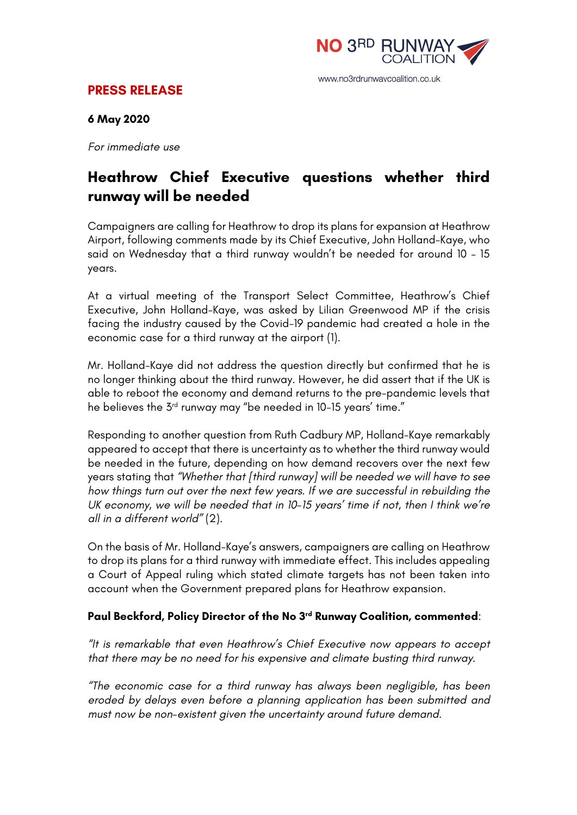

## **PRESS RELEASE**

#### **6 May 2020**

*For immediate use*

# **Heathrow Chief Executive questions whether third runway will be needed**

Campaigners are calling for Heathrow to drop its plans for expansion at Heathrow Airport, following comments made by its Chief Executive, John Holland-Kaye, who said on Wednesday that a third runway wouldn't be needed for around 10 – 15 years.

At a virtual meeting of the Transport Select Committee, Heathrow's Chief Executive, John Holland-Kaye, was asked by Lilian Greenwood MP if the crisis facing the industry caused by the Covid-19 pandemic had created a hole in the economic case for a third runway at the airport (1).

Mr. Holland-Kaye did not address the question directly but confirmed that he is no longer thinking about the third runway. However, he did assert that if the UK is able to reboot the economy and demand returns to the pre-pandemic levels that he believes the 3<sup>rd</sup> runway may "be needed in 10-15 years' time."

Responding to another question from Ruth Cadbury MP, Holland-Kaye remarkably appeared to accept that there is uncertainty as to whether the third runway would be needed in the future, depending on how demand recovers over the next few years stating that *"Whether that [third runway] will be needed we will have to see how things turn out over the next few years. If we are successful in rebuilding the UK economy, we will be needed that in 10-15 years' time if not, then I think we're all in a different world"* (2).

On the basis of Mr. Holland-Kaye's answers, campaigners are calling on Heathrow to drop its plans for a third runway with immediate effect. This includes appealing a Court of Appeal ruling which stated climate targets has not been taken into account when the Government prepared plans for Heathrow expansion.

### **Paul Beckford, Policy Director of the No 3rd Runway Coalition, commented**:

*"It is remarkable that even Heathrow's Chief Executive now appears to accept that there may be no need for his expensive and climate busting third runway.*

*"The economic case for a third runway has always been negligible, has been eroded by delays even before a planning application has been submitted and must now be non-existent given the uncertainty around future demand.*